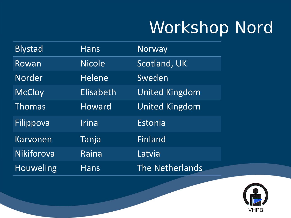# Workshop Nord

| <b>Blystad</b>   | <b>Hans</b>   | Norway                 |
|------------------|---------------|------------------------|
| Rowan            | <b>Nicole</b> | <b>Scotland, UK</b>    |
| Norder           | <b>Helene</b> | Sweden                 |
| <b>McCloy</b>    | Elisabeth     | <b>United Kingdom</b>  |
| Thomas           | Howard        | <b>United Kingdom</b>  |
| Filippova        | Irina         | Estonia                |
| <b>Karvonen</b>  | Tanja         | Finland                |
| Nikiforova       | Raina         | Latvia                 |
| <b>Houweling</b> | <b>Hans</b>   | <b>The Netherlands</b> |

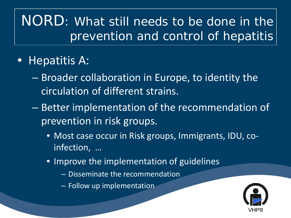#### • Hepatitis A:

- Broader collaboration in Europe, to identity the circulation of different strains.
- Better implementation of the recommendation of prevention in risk groups.
	- Most case occur in Risk groups, Immigrants, IDU, coinfection, …
	- Improve the implementation of guidelines
		- Disseminate the recommendation
		- Follow up implementation

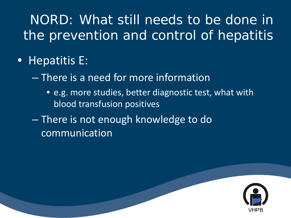- Hepatitis E:
	- There is a need for more information
		- e.g. more studies, better diagnostic test, what with blood transfusion positives
	- There is not enough knowledge to do communication

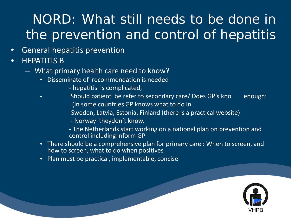- General hepatitis prevention
- HEPATITIS B
	- What primary health care need to know?
		- Disseminate of recommendation is needed
			- hepatitis is complicated,
		- Should patient be refer to secondary care/ Does GP's kno enough: (in some countries GP knows what to do in
			- -Sweden, Latvia, Estonia, Finland (there is a practical website)
			- Norway theydon't know,
			- The Netherlands start working on a national plan on prevention and control including inform GP
		- There should be a comprehensive plan for primary care : When to screen, and how to screen, what to do when positives
		- Plan must be practical, implementable, concise

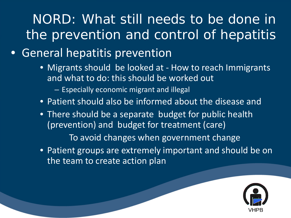#### • General hepatitis prevention

- Migrants should be looked at How to reach Immigrants and what to do: this should be worked out
	- Especially economic migrant and illegal
- Patient should also be informed about the disease and
- There should be a separate budget for public health (prevention) and budget for treatment (care) To avoid changes when government change
- Patient groups are extremely important and should be on the team to create action plan

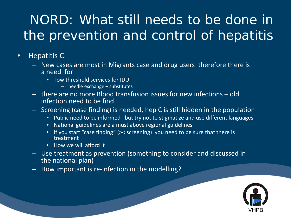- Hepatitis C:
	- New cases are most in Migrants case and drug users therefore there is a need for
		- low threshold services for IDU
			- needle exchange substitutes
	- there are no more Blood transfusion issues for new infections old infection need to be find
	- Screening (case finding) is needed, hep C is still hidden in the population
		- Public need to be informed but try not to stigmatize and use different languages
		- National guidelines are a must above regional guidelines
		- If you start "case finding" (>< screening) you need to be sure that there is treatment
		- How we will afford it
	- Use treatment as prevention (something to consider and discussed in the national plan)
	- How important is re-infection in the modelling?

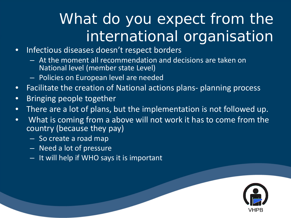## What do you expect from the international organisation

- Infectious diseases doesn't respect borders
	- At the moment all recommendation and decisions are taken on National level (member state Level)
	- Policies on European level are needed
- Facilitate the creation of National actions plans- planning process
- Bringing people together
- There are a lot of plans, but the implementation is not followed up.
- What is coming from a above will not work it has to come from the country (because they pay)
	- So create a road map
	- Need a lot of pressure
	- It will help if WHO says it is important